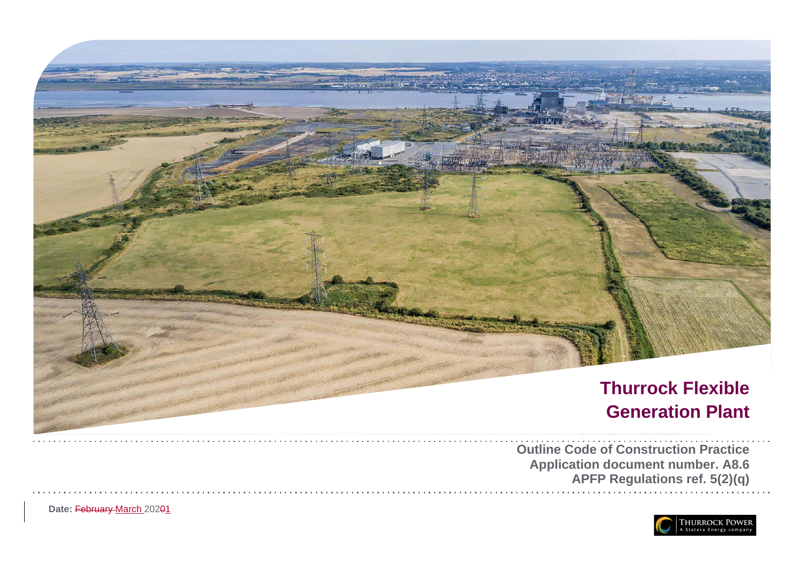

Date: February March 20201

**Application document number. A8.6 APFP Regulations ref. 5(2)(q)**

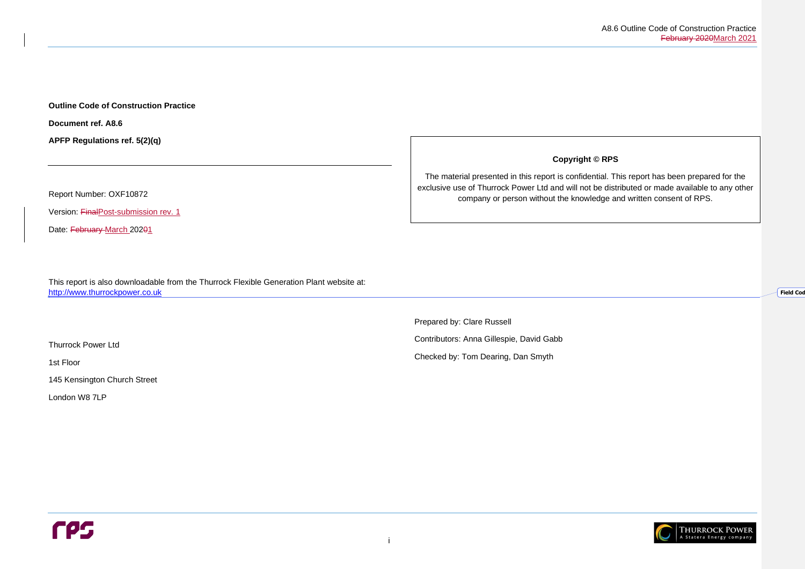**Field Code** 



#### **Outline Code of Construction Practice**

**Document ref. A8.6**

**APFP Regulations ref. 5(2)(q)**

Report Number: OXF10872

Version: FinalPost-submission rev. 1

Date: February March 20201

This report is also downloadable from the Thurrock Flexible Generation Plant website at: [http://www.thurrockpower.co.uk](http://www.thurrockpower.co.uk/)

Thurrock Power Ltd

1st Floor

145 Kensington Church Street

London W8 7LP

**Copyright © RPS**

The material presented in this report is confidential. This report has been prepared for the exclusive use of Thurrock Power Ltd and will not be distributed or made available to any other company or person without the knowledge and written consent of RPS.

Prepared by: Clare Russell Contributors: Anna Gillespie, David Gabb

Checked by: Tom Dearing, Dan Smyth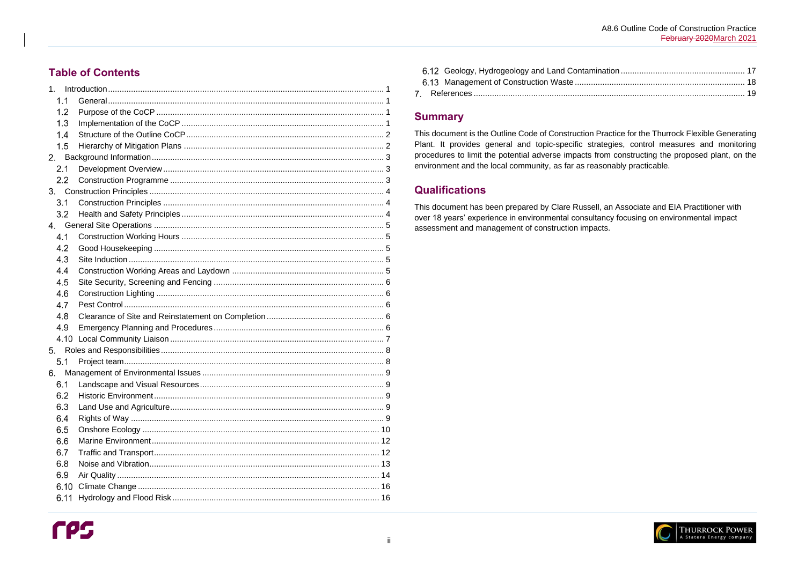## **Table of Contents**

| 1 <sub>1</sub> |  |
|----------------|--|
| 1.1            |  |
| 1.2            |  |
| 1.3            |  |
| 1.4            |  |
| 1.5            |  |
| 2.             |  |
| 2.1            |  |
| 2.2            |  |
|                |  |
| 3.1            |  |
| 3.2            |  |
|                |  |
| 4.1            |  |
| 4.2            |  |
| 4.3            |  |
| 4.4            |  |
| 4.5            |  |
| 4.6            |  |
| 4.7            |  |
| 4.8            |  |
| 4.9            |  |
| 4.10           |  |
| 5 <sub>1</sub> |  |
| 5.1            |  |
| 6.             |  |
|                |  |
| 6.2            |  |
| 6.3            |  |
| 6.4            |  |
| 6.5            |  |
| 6.6            |  |
| 6.7            |  |
| 6.8            |  |
| 6.9            |  |
| 6.10           |  |
| 6.11           |  |

## **Summary**

This document is the Outline Code of Construction Practice for the Thurrock Flexible Generating Plant. It provides general and topic-specific strategies, control measures and monitoring procedures to limit the potential adverse impacts from constructing the proposed plant, on the environment and the local community, as far as reasonably practicable.

## **Qualifications**

This document has been prepared by Clare Russell, an Associate and EIA Practitioner with over 18 years' experience in environmental consultancy focusing on environmental impact assessment and management of construction impacts.

A8.6 Outline Code of Construction Practice February 2020March 2021

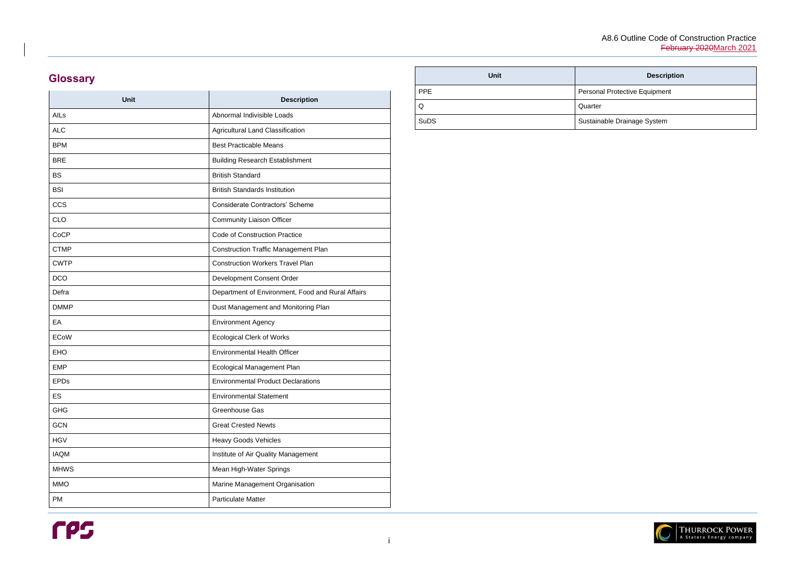#### **Description**

Protective Equipment

le Drainage System



# **Glossary**

| Unit        | <b>Description</b>                                |
|-------------|---------------------------------------------------|
| AILs        | Abnormal Indivisible Loads                        |
| <b>ALC</b>  | Agricultural Land Classification                  |
| <b>BPM</b>  | <b>Best Practicable Means</b>                     |
| <b>BRE</b>  | <b>Building Research Establishment</b>            |
| <b>BS</b>   | <b>British Standard</b>                           |
| <b>BSI</b>  | <b>British Standards Institution</b>              |
| <b>CCS</b>  | <b>Considerate Contractors' Scheme</b>            |
| <b>CLO</b>  | <b>Community Liaison Officer</b>                  |
| CoCP        | <b>Code of Construction Practice</b>              |
| <b>CTMP</b> | <b>Construction Traffic Management Plan</b>       |
| <b>CWTP</b> | <b>Construction Workers Travel Plan</b>           |
| <b>DCO</b>  | Development Consent Order                         |
| Defra       | Department of Environment, Food and Rural Affairs |
| <b>DMMP</b> | Dust Management and Monitoring Plan               |
| EA          | <b>Environment Agency</b>                         |
| <b>ECoW</b> | <b>Ecological Clerk of Works</b>                  |
| <b>EHO</b>  | <b>Environmental Health Officer</b>               |
| <b>EMP</b>  | Ecological Management Plan                        |
| <b>EPDs</b> | <b>Environmental Product Declarations</b>         |
| ES          | <b>Environmental Statement</b>                    |
| <b>GHG</b>  | Greenhouse Gas                                    |
| <b>GCN</b>  | <b>Great Crested Newts</b>                        |
| <b>HGV</b>  | <b>Heavy Goods Vehicles</b>                       |
| <b>IAQM</b> | Institute of Air Quality Management               |
| <b>MHWS</b> | Mean High-Water Springs                           |
| <b>MMO</b>  | Marine Management Organisation                    |
| PM          | <b>Particulate Matter</b>                         |

| <b>Unit</b> |            |
|-------------|------------|
| <b>PPE</b>  | Personal F |
| Q           | Quarter    |
| <b>SuDS</b> | Sustainabl |

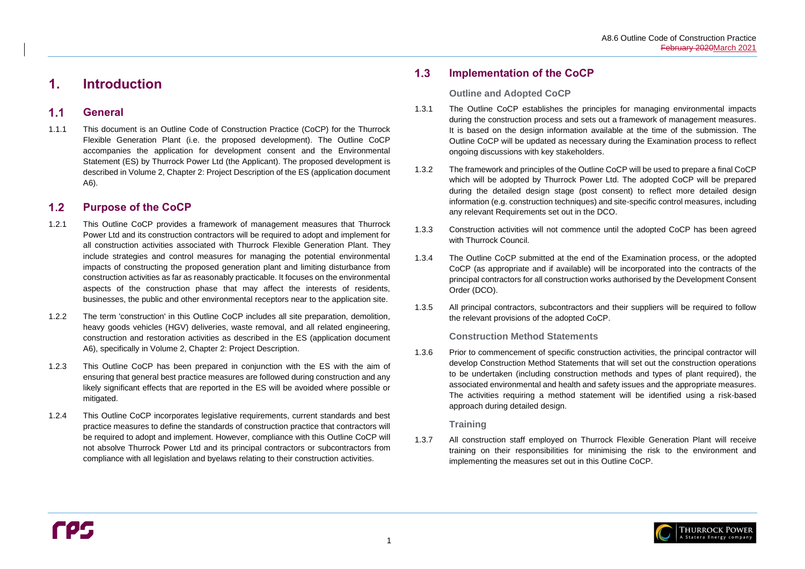

#### <span id="page-4-1"></span> $1.1$ **General**

# <span id="page-4-0"></span>**1. Introduction**

#### <span id="page-4-2"></span> $1.2$ **Purpose of the CoCP**

1.1.1 This document is an Outline Code of Construction Practice (CoCP) for the Thurrock Flexible Generation Plant (i.e. the proposed development). The Outline CoCP accompanies the application for development consent and the Environmental Statement (ES) by Thurrock Power Ltd (the Applicant). The proposed development is described in Volume 2, Chapter 2: Project Description of the ES (application document A6).

#### <span id="page-4-3"></span> $1.3$ **Implementation of the CoCP**

- 1.2.1 This Outline CoCP provides a framework of management measures that Thurrock Power Ltd and its construction contractors will be required to adopt and implement for all construction activities associated with Thurrock Flexible Generation Plant. They include strategies and control measures for managing the potential environmental impacts of constructing the proposed generation plant and limiting disturbance from construction activities as far as reasonably practicable. It focuses on the environmental aspects of the construction phase that may affect the interests of residents, businesses, the public and other environmental receptors near to the application site.
- 1.2.2 The term 'construction' in this Outline CoCP includes all site preparation, demolition, heavy goods vehicles (HGV) deliveries, waste removal, and all related engineering, construction and restoration activities as described in the ES (application document A6), specifically in Volume 2, Chapter 2: Project Description.
- 1.2.3 This Outline CoCP has been prepared in conjunction with the ES with the aim of ensuring that general best practice measures are followed during construction and any likely significant effects that are reported in the ES will be avoided where possible or mitigated.
- 1.2.4 This Outline CoCP incorporates legislative requirements, current standards and best practice measures to define the standards of construction practice that contractors will be required to adopt and implement. However, compliance with this Outline CoCP will not absolve Thurrock Power Ltd and its principal contractors or subcontractors from compliance with all legislation and byelaws relating to their construction activities.

### **Outline and Adopted CoCP**

- 1.3.1 The Outline CoCP establishes the principles for managing environmental impacts during the construction process and sets out a framework of management measures. It is based on the design information available at the time of the submission. The Outline CoCP will be updated as necessary during the Examination process to reflect ongoing discussions with key stakeholders.
- 1.3.2 The framework and principles of the Outline CoCP will be used to prepare a final CoCP which will be adopted by Thurrock Power Ltd. The adopted CoCP will be prepared during the detailed design stage (post consent) to reflect more detailed design information (e.g. construction techniques) and site-specific control measures, including any relevant Requirements set out in the DCO.
- 1.3.3 Construction activities will not commence until the adopted CoCP has been agreed with Thurrock Council.
- 1.3.4 The Outline CoCP submitted at the end of the Examination process, or the adopted CoCP (as appropriate and if available) will be incorporated into the contracts of the principal contractors for all construction works authorised by the Development Consent Order (DCO).
- 1.3.5 All principal contractors, subcontractors and their suppliers will be required to follow the relevant provisions of the adopted CoCP.

### **Construction Method Statements**

1.3.6 Prior to commencement of specific construction activities, the principal contractor will develop Construction Method Statements that will set out the construction operations to be undertaken (including construction methods and types of plant required), the associated environmental and health and safety issues and the appropriate measures. The activities requiring a method statement will be identified using a risk-based approach during detailed design.

### **Training**

1.3.7 All construction staff employed on Thurrock Flexible Generation Plant will receive training on their responsibilities for minimising the risk to the environment and implementing the measures set out in this Outline CoCP.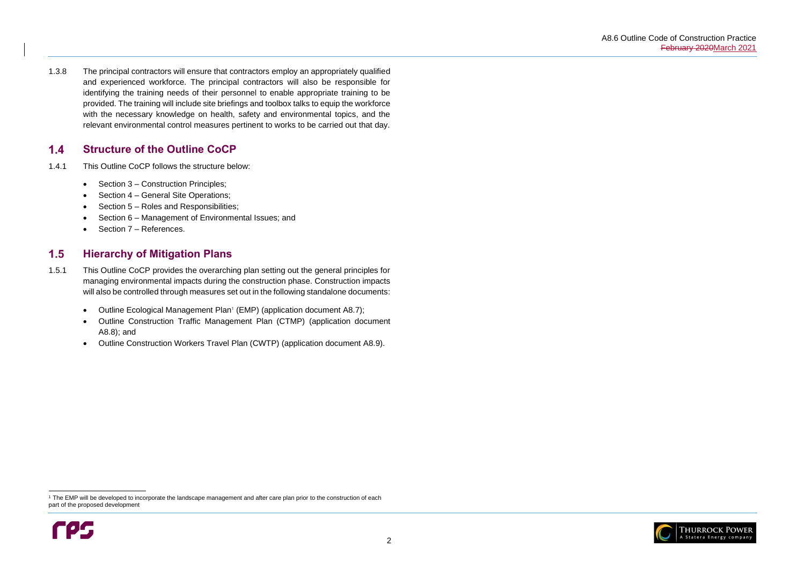

#### <span id="page-5-0"></span> $1.4$ **Structure of the Outline CoCP**

- 1.4.1 This Outline CoCP follows the structure below:
	- Section [3](#page-7-0) Construction Principles;
	- Section [4](#page-8-0) General Site Operations;
	- Section [5](#page-11-0) Roles and Responsibilities;
	- Section [6](#page-12-0) Management of Environmental Issues; and
	- Section [7](#page-22-0) References.

1.3.8 The principal contractors will ensure that contractors employ an appropriately qualified and experienced workforce. The principal contractors will also be responsible for identifying the training needs of their personnel to enable appropriate training to be provided. The training will include site briefings and toolbox talks to equip the workforce with the necessary knowledge on health, safety and environmental topics, and the relevant environmental control measures pertinent to works to be carried out that day.

#### <span id="page-5-1"></span> $1.5$ **Hierarchy of Mitigation Plans**

<sup>&</sup>lt;sup>1</sup> The EMP will be developed to incorporate the landscape management and after care plan prior to the construction of each part of the proposed development



- 1.5.1 This Outline CoCP provides the overarching plan setting out the general principles for managing environmental impacts during the construction phase. Construction impacts will also be controlled through measures set out in the following standalone documents:
	- Outline Ecological Management Plan<sup>1</sup> (EMP) (application document A8.7);
	- Outline Construction Traffic Management Plan (CTMP) (application document A8.8); and
	- Outline Construction Workers Travel Plan (CWTP) (application document A8.9).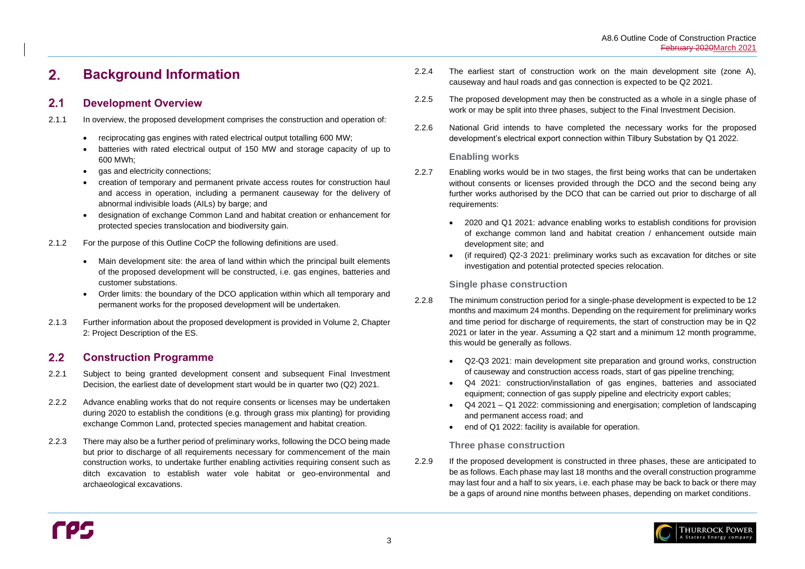#### <span id="page-6-0"></span> $2.$ **Background Information**

#### <span id="page-6-1"></span> $2.1$ **Development Overview**

#### <span id="page-6-2"></span> $2.2$ **Construction Programme**

- 2.1.1 In overview, the proposed development comprises the construction and operation of:
	- reciprocating gas engines with rated electrical output totalling 600 MW;
	- batteries with rated electrical output of 150 MW and storage capacity of up to 600 MWh;
	- gas and electricity connections;
	- creation of temporary and permanent private access routes for construction haul and access in operation, including a permanent causeway for the delivery of abnormal indivisible loads (AILs) by barge; and
	- designation of exchange Common Land and habitat creation or enhancement for protected species translocation and biodiversity gain.
- 2.1.2 For the purpose of this Outline CoCP the following definitions are used.
	- Main development site: the area of land within which the principal built elements of the proposed development will be constructed, i.e. gas engines, batteries and customer substations.
	- Order limits: the boundary of the DCO application within which all temporary and permanent works for the proposed development will be undertaken.
- 2.1.3 Further information about the proposed development is provided in Volume 2, Chapter 2: Project Description of the ES.
- 2.2.8 The minimum construction period for a single-phase development is expected to be 12 months and maximum 24 months. Depending on the requirement for preliminary works and time period for discharge of requirements, the start of construction may be in Q2 2021 or later in the year. Assuming a Q2 start and a minimum 12 month programme, this would be generally as follows.
	- Q2-Q3 2021: main development site preparation and ground works, construction of causeway and construction access roads, start of gas pipeline trenching;
	- equipment; connection of gas supply pipeline and electricity export cables;
	- and permanent access road; and
	- end of Q1 2022: facility is available for operation.
- 2.2.1 Subject to being granted development consent and subsequent Final Investment Decision, the earliest date of development start would be in quarter two (Q2) 2021.
- 2.2.2 Advance enabling works that do not require consents or licenses may be undertaken during 2020 to establish the conditions (e.g. through grass mix planting) for providing exchange Common Land, protected species management and habitat creation.
- 2.2.3 There may also be a further period of preliminary works, following the DCO being made but prior to discharge of all requirements necessary for commencement of the main construction works, to undertake further enabling activities requiring consent such as ditch excavation to establish water vole habitat or geo-environmental and archaeological excavations.

2.2.9 If the proposed development is constructed in three phases, these are anticipated to be as follows. Each phase may last 18 months and the overall construction programme may last four and a half to six years, i.e. each phase may be back to back or there may be a gaps of around nine months between phases, depending on market conditions.

- 2.2.4 The earliest start of construction work on the main development site (zone A), causeway and haul roads and gas connection is expected to be Q2 2021.
- 2.2.5 The proposed development may then be constructed as a whole in a single phase of work or may be split into three phases, subject to the Final Investment Decision.
- 2.2.6 National Grid intends to have completed the necessary works for the proposed development's electrical export connection within Tilbury Substation by Q1 2022.

### **Enabling works**

- 2.2.7 Enabling works would be in two stages, the first being works that can be undertaken without consents or licenses provided through the DCO and the second being any further works authorised by the DCO that can be carried out prior to discharge of all requirements:
	- 2020 and Q1 2021: advance enabling works to establish conditions for provision development site; and
	- investigation and potential protected species relocation.

of exchange common land and habitat creation / enhancement outside main

• (if required) Q2-3 2021: preliminary works such as excavation for ditches or site

### **Single phase construction**

• Q4 2021: construction/installation of gas engines, batteries and associated • Q4 2021 – Q1 2022: commissioning and energisation; completion of landscaping



### **Three phase construction**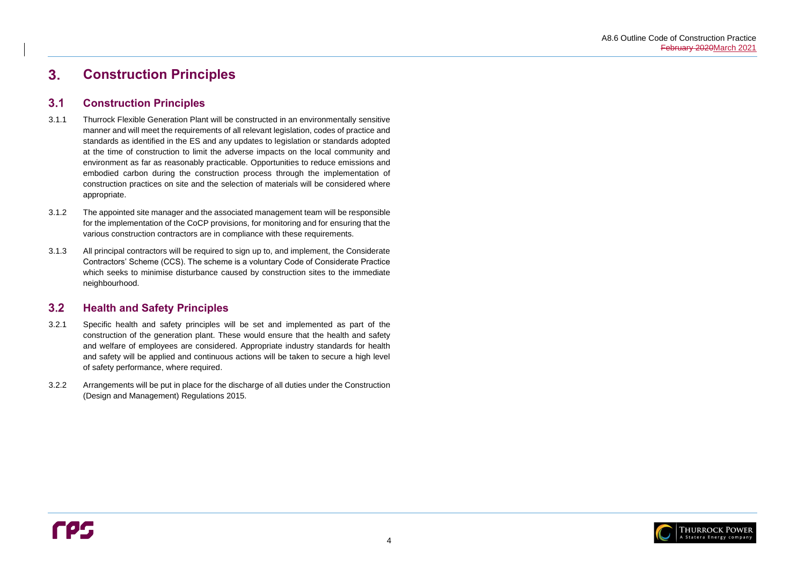

#### <span id="page-7-0"></span> $3<sub>1</sub>$ **Construction Principles**

#### <span id="page-7-1"></span> $3.1$ **Construction Principles**

#### <span id="page-7-2"></span> $3.2$ **Health and Safety Principles**

- 3.1.1 Thurrock Flexible Generation Plant will be constructed in an environmentally sensitive manner and will meet the requirements of all relevant legislation, codes of practice and standards as identified in the ES and any updates to legislation or standards adopted at the time of construction to limit the adverse impacts on the local community and environment as far as reasonably practicable. Opportunities to reduce emissions and embodied carbon during the construction process through the implementation of construction practices on site and the selection of materials will be considered where appropriate.
- 3.1.2 The appointed site manager and the associated management team will be responsible for the implementation of the CoCP provisions, for monitoring and for ensuring that the various construction contractors are in compliance with these requirements.
- 3.1.3 All principal contractors will be required to sign up to, and implement, the Considerate Contractors' Scheme (CCS). The scheme is a voluntary Code of Considerate Practice which seeks to minimise disturbance caused by construction sites to the immediate neighbourhood.

- 3.2.1 Specific health and safety principles will be set and implemented as part of the construction of the generation plant. These would ensure that the health and safety and welfare of employees are considered. Appropriate industry standards for health and safety will be applied and continuous actions will be taken to secure a high level of safety performance, where required.
- 3.2.2 Arrangements will be put in place for the discharge of all duties under the Construction (Design and Management) Regulations 2015.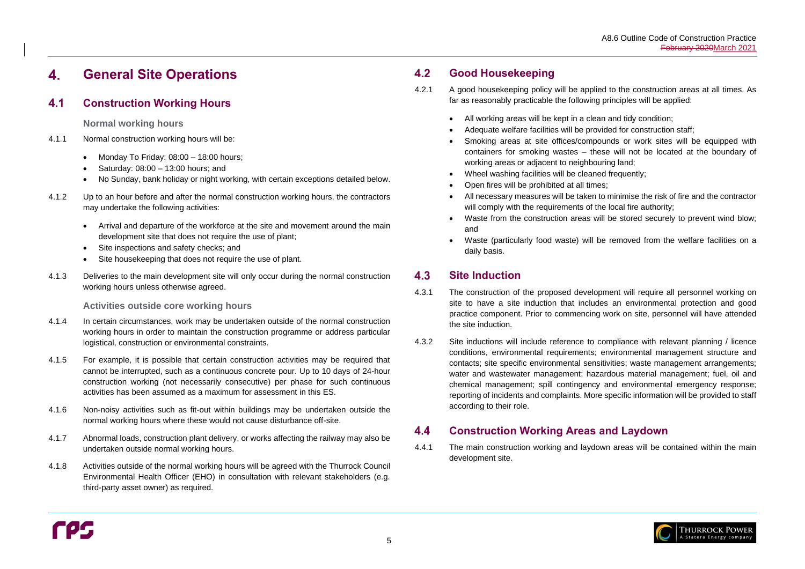#### <span id="page-8-0"></span>**General Site Operations**  4.

#### <span id="page-8-1"></span>**Construction Working Hours**  $4.1$

**Normal working hours** 

- 4.1.1 Normal construction working hours will be:
	- Monday To Friday:  $08:00 18:00$  hours;
	- Saturday: 08:00 13:00 hours; and
	- No Sunday, bank holiday or night working, with certain exceptions detailed below.
- 4.1.2 Up to an hour before and after the normal construction working hours, the contractors may undertake the following activities:
	- Arrival and departure of the workforce at the site and movement around the main development site that does not require the use of plant;
	- Site inspections and safety checks; and
	- Site housekeeping that does not require the use of plant.
- 4.1.3 Deliveries to the main development site will only occur during the normal construction working hours unless otherwise agreed.

**Activities outside core working hours**

#### <span id="page-8-2"></span> $4.2$ **Good Housekeeping**

- 4.1.4 In certain circumstances, work may be undertaken outside of the normal construction working hours in order to maintain the construction programme or address particular logistical, construction or environmental constraints.
- 4.1.5 For example, it is possible that certain construction activities may be required that cannot be interrupted, such as a continuous concrete pour. Up to 10 days of 24-hour construction working (not necessarily consecutive) per phase for such continuous activities has been assumed as a maximum for assessment in this ES.
- 4.1.6 Non-noisy activities such as fit-out within buildings may be undertaken outside the normal working hours where these would not cause disturbance off-site.
- 4.1.7 Abnormal loads, construction plant delivery, or works affecting the railway may also be undertaken outside normal working hours.
- 4.1.8 Activities outside of the normal working hours will be agreed with the Thurrock Council Environmental Health Officer (EHO) in consultation with relevant stakeholders (e.g. third-party asset owner) as required.

#### <span id="page-8-3"></span>**Site Induction** 4.3

#### <span id="page-8-4"></span> $4.4$ **Construction Working Areas and Laydown**

- 4.2.1 A good housekeeping policy will be applied to the construction areas at all times. As far as reasonably practicable the following principles will be applied:
	- All working areas will be kept in a clean and tidy condition;
	- Adequate welfare facilities will be provided for construction staff;
	- Smoking areas at site offices/compounds or work sites will be equipped with containers for smoking wastes – these will not be located at the boundary of working areas or adjacent to neighbouring land;
	- Wheel washing facilities will be cleaned frequently;
	- Open fires will be prohibited at all times;
	- All necessary measures will be taken to minimise the risk of fire and the contractor will comply with the requirements of the local fire authority;
	- Waste from the construction areas will be stored securely to prevent wind blow; and
	- daily basis.

• Waste (particularly food waste) will be removed from the welfare facilities on a



- 4.3.1 The construction of the proposed development will require all personnel working on site to have a site induction that includes an environmental protection and good practice component. Prior to commencing work on site, personnel will have attended the site induction.
- 4.3.2 Site inductions will include reference to compliance with relevant planning / licence conditions, environmental requirements; environmental management structure and contacts; site specific environmental sensitivities; waste management arrangements; water and wastewater management; hazardous material management; fuel, oil and chemical management; spill contingency and environmental emergency response; reporting of incidents and complaints. More specific information will be provided to staff according to their role.

4.4.1 The main construction working and laydown areas will be contained within the main development site.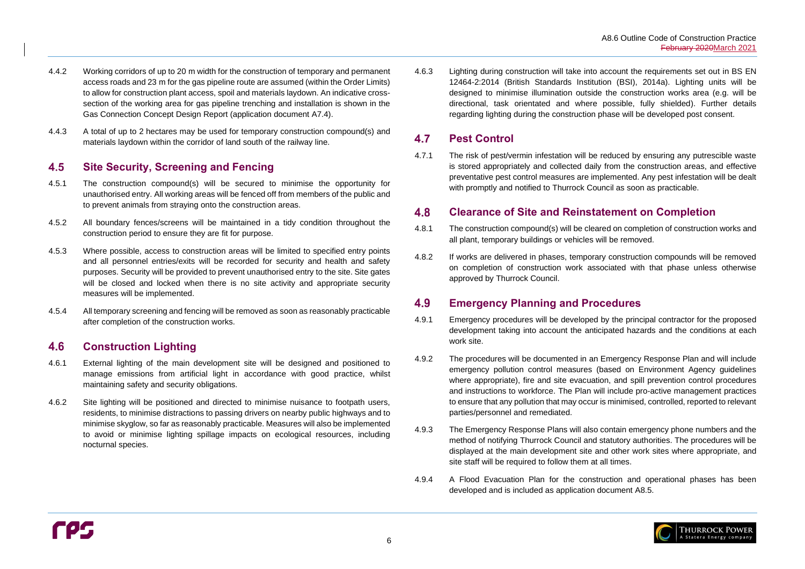

#### <span id="page-9-0"></span>4.5 **Site Security, Screening and Fencing**

- 4.4.2 Working corridors of up to 20 m width for the construction of temporary and permanent access roads and 23 m for the gas pipeline route are assumed (within the Order Limits) to allow for construction plant access, spoil and materials laydown. An indicative crosssection of the working area for gas pipeline trenching and installation is shown in the Gas Connection Concept Design Report (application document A7.4).
- 4.4.3 A total of up to 2 hectares may be used for temporary construction compound(s) and materials laydown within the corridor of land south of the railway line.

#### <span id="page-9-1"></span>**Construction Lighting** 4.6

- 4.5.1 The construction compound(s) will be secured to minimise the opportunity for unauthorised entry. All working areas will be fenced off from members of the public and to prevent animals from straying onto the construction areas.
- 4.5.2 All boundary fences/screens will be maintained in a tidy condition throughout the construction period to ensure they are fit for purpose.
- 4.5.3 Where possible, access to construction areas will be limited to specified entry points and all personnel entries/exits will be recorded for security and health and safety purposes. Security will be provided to prevent unauthorised entry to the site. Site gates will be closed and locked when there is no site activity and appropriate security measures will be implemented.
- 4.5.4 All temporary screening and fencing will be removed as soon as reasonably practicable after completion of the construction works.

#### <span id="page-9-2"></span>4.7 **Pest Control**

#### <span id="page-9-3"></span>4.8 **Clearance of Site and Reinstatement on Completion**

#### <span id="page-9-4"></span>4.9 **Emergency Planning and Procedures**

- 4.6.1 External lighting of the main development site will be designed and positioned to manage emissions from artificial light in accordance with good practice, whilst maintaining safety and security obligations.
- 4.6.2 Site lighting will be positioned and directed to minimise nuisance to footpath users, residents, to minimise distractions to passing drivers on nearby public highways and to minimise skyglow, so far as reasonably practicable. Measures will also be implemented to avoid or minimise lighting spillage impacts on ecological resources, including nocturnal species.

4.6.3 Lighting during construction will take into account the requirements set out in BS EN 12464-2:2014 (British Standards Institution (BSI), 2014a). Lighting units will be designed to minimise illumination outside the construction works area (e.g. will be directional, task orientated and where possible, fully shielded). Further details regarding lighting during the construction phase will be developed post consent.

4.7.1 The risk of pest/vermin infestation will be reduced by ensuring any putrescible waste is stored appropriately and collected daily from the construction areas, and effective preventative pest control measures are implemented. Any pest infestation will be dealt with promptly and notified to Thurrock Council as soon as practicable.

- 4.8.1 The construction compound(s) will be cleared on completion of construction works and all plant, temporary buildings or vehicles will be removed.
- 4.8.2 If works are delivered in phases, temporary construction compounds will be removed on completion of construction work associated with that phase unless otherwise approved by Thurrock Council.

- 4.9.1 Emergency procedures will be developed by the principal contractor for the proposed development taking into account the anticipated hazards and the conditions at each work site.
- 4.9.2 The procedures will be documented in an Emergency Response Plan and will include emergency pollution control measures (based on Environment Agency guidelines where appropriate), fire and site evacuation, and spill prevention control procedures and instructions to workforce. The Plan will include pro-active management practices to ensure that any pollution that may occur is minimised, controlled, reported to relevant parties/personnel and remediated.
- 4.9.3 The Emergency Response Plans will also contain emergency phone numbers and the method of notifying Thurrock Council and statutory authorities. The procedures will be displayed at the main development site and other work sites where appropriate, and site staff will be required to follow them at all times.
- 4.9.4 A Flood Evacuation Plan for the construction and operational phases has been developed and is included as application document A8.5.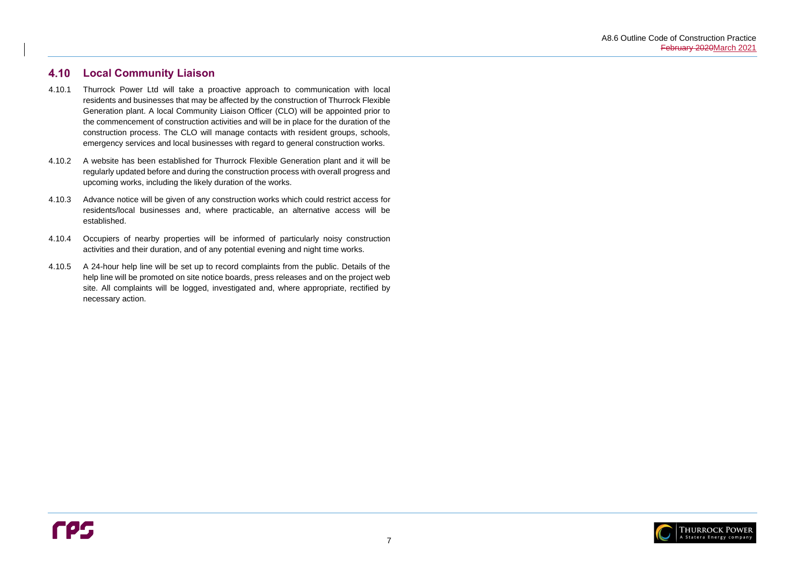

#### <span id="page-10-0"></span>4.10 **Local Community Liaison**

- 4.10.1 Thurrock Power Ltd will take a proactive approach to communication with local residents and businesses that may be affected by the construction of Thurrock Flexible Generation plant. A local Community Liaison Officer (CLO) will be appointed prior to the commencement of construction activities and will be in place for the duration of the construction process. The CLO will manage contacts with resident groups, schools, emergency services and local businesses with regard to general construction works.
- 4.10.2 A website has been established for Thurrock Flexible Generation plant and it will be regularly updated before and during the construction process with overall progress and upcoming works, including the likely duration of the works.
- 4.10.3 Advance notice will be given of any construction works which could restrict access for residents/local businesses and, where practicable, an alternative access will be established.
- 4.10.4 Occupiers of nearby properties will be informed of particularly noisy construction activities and their duration, and of any potential evening and night time works.
- 4.10.5 A 24-hour help line will be set up to record complaints from the public. Details of the help line will be promoted on site notice boards, press releases and on the project web site. All complaints will be logged, investigated and, where appropriate, rectified by necessary action.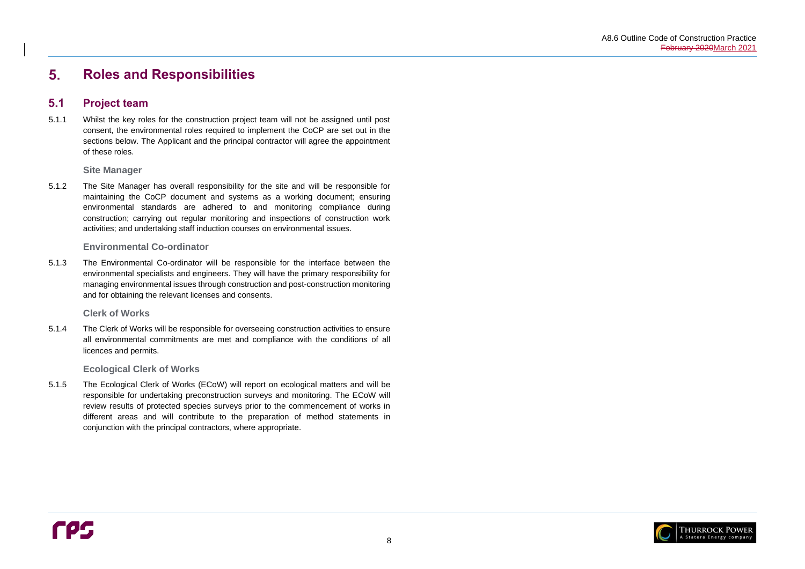

#### <span id="page-11-0"></span>5. **Roles and Responsibilities**

#### <span id="page-11-1"></span> $5.1$ **Project team**

8

5.1.1 Whilst the key roles for the construction project team will not be assigned until post consent, the environmental roles required to implement the CoCP are set out in the sections below. The Applicant and the principal contractor will agree the appointment of these roles.

**Site Manager**

5.1.2 The Site Manager has overall responsibility for the site and will be responsible for maintaining the CoCP document and systems as a working document; ensuring environmental standards are adhered to and monitoring compliance during construction; carrying out regular monitoring and inspections of construction work activities; and undertaking staff induction courses on environmental issues.

### **Environmental Co-ordinator**

5.1.3 The Environmental Co-ordinator will be responsible for the interface between the environmental specialists and engineers. They will have the primary responsibility for managing environmental issues through construction and post-construction monitoring and for obtaining the relevant licenses and consents.

**Clerk of Works**

5.1.4 The Clerk of Works will be responsible for overseeing construction activities to ensure all environmental commitments are met and compliance with the conditions of all licences and permits.

**Ecological Clerk of Works**

5.1.5 The Ecological Clerk of Works (ECoW) will report on ecological matters and will be responsible for undertaking preconstruction surveys and monitoring. The ECoW will review results of protected species surveys prior to the commencement of works in different areas and will contribute to the preparation of method statements in conjunction with the principal contractors, where appropriate.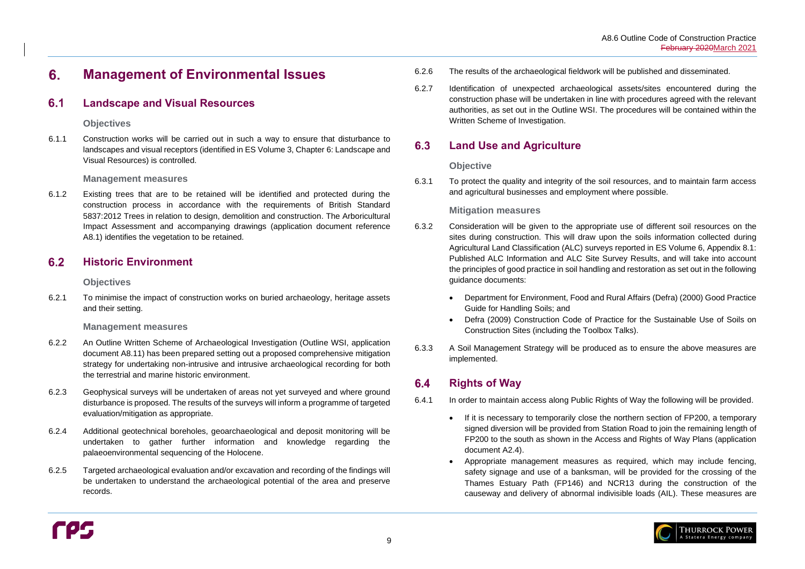#### <span id="page-12-0"></span> $6.$ **Management of Environmental Issues**

#### <span id="page-12-1"></span> $6.1$ **Landscape and Visual Resources**

### **Objectives**

6.1.1 Construction works will be carried out in such a way to ensure that disturbance to landscapes and visual receptors (identified in ES Volume 3, Chapter 6: Landscape and Visual Resources) is controlled.

### **Management measures**

#### <span id="page-12-2"></span> $6.2$ **Historic Environment**

6.1.2 Existing trees that are to be retained will be identified and protected during the construction process in accordance with the requirements of British Standard 5837:2012 Trees in relation to design, demolition and construction. The Arboricultural Impact Assessment and accompanying drawings (application document reference A8.1) identifies the vegetation to be retained.

### **Objectives**

6.2.1 To minimise the impact of construction works on buried archaeology, heritage assets and their setting.

### **Management measures**

#### <span id="page-12-3"></span>6.3 **Land Use and Agriculture**

- 6.2.2 An Outline Written Scheme of Archaeological Investigation (Outline WSI, application document A8.11) has been prepared setting out a proposed comprehensive mitigation strategy for undertaking non-intrusive and intrusive archaeological recording for both the terrestrial and marine historic environment.
- 6.2.3 Geophysical surveys will be undertaken of areas not yet surveyed and where ground disturbance is proposed. The results of the surveys will inform a programme of targeted evaluation/mitigation as appropriate.
- 6.2.4 Additional geotechnical boreholes, geoarchaeological and deposit monitoring will be undertaken to gather further information and knowledge regarding the palaeoenvironmental sequencing of the Holocene.
- 6.2.5 Targeted archaeological evaluation and/or excavation and recording of the findings will be undertaken to understand the archaeological potential of the area and preserve records.

#### <span id="page-12-4"></span>**Rights of Way**  $6.4$

- 6.2.6 The results of the archaeological fieldwork will be published and disseminated.
- 6.2.7 Identification of unexpected archaeological assets/sites encountered during the construction phase will be undertaken in line with procedures agreed with the relevant authorities, as set out in the Outline WSI. The procedures will be contained within the Written Scheme of Investigation.

## **Objective**

6.3.1 To protect the quality and integrity of the soil resources, and to maintain farm access and agricultural businesses and employment where possible.

## **Mitigation measures**

- 6.3.2 Consideration will be given to the appropriate use of different soil resources on the sites during construction. This will draw upon the soils information collected during Agricultural Land Classification (ALC) surveys reported in ES Volume 6, Appendix 8.1: Published ALC Information and ALC Site Survey Results, and will take into account the principles of good practice in soil handling and restoration as set out in the following guidance documents:
	- Department for Environment, Food and Rural Affairs (Defra) (2000) Good Practice Guide for Handling Soils; and
	- Defra (2009) Construction Code of Practice for the Sustainable Use of Soils on Construction Sites (including the Toolbox Talks).
- 6.3.3 A Soil Management Strategy will be produced as to ensure the above measures are implemented.

- 6.4.1 In order to maintain access along Public Rights of Way the following will be provided.
	- If it is necessary to temporarily close the northern section of FP200, a temporary document A2.4).
	-

signed diversion will be provided from Station Road to join the remaining length of FP200 to the south as shown in the Access and Rights of Way Plans (application

• Appropriate management measures as required, which may include fencing, safety signage and use of a banksman, will be provided for the crossing of the Thames Estuary Path (FP146) and NCR13 during the construction of the causeway and delivery of abnormal indivisible loads (AIL). These measures are

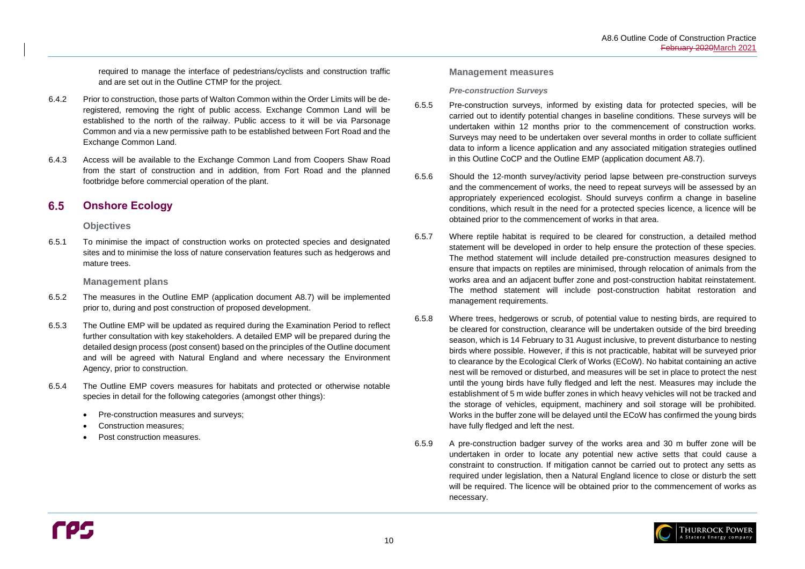

required to manage the interface of pedestrians/cyclists and construction traffic and are set out in the Outline CTMP for the project.

#### <span id="page-13-0"></span>6.5 **Onshore Ecology**

- 6.4.2 Prior to construction, those parts of Walton Common within the Order Limits will be deregistered, removing the right of public access. Exchange Common Land will be established to the north of the railway. Public access to it will be via Parsonage Common and via a new permissive path to be established between Fort Road and the Exchange Common Land.
- 6.4.3 Access will be available to the Exchange Common Land from Coopers Shaw Road from the start of construction and in addition, from Fort Road and the planned footbridge before commercial operation of the plant.

### **Objectives**

6.5.1 To minimise the impact of construction works on protected species and designated sites and to minimise the loss of nature conservation features such as hedgerows and mature trees.

### **Management plans**

- 6.5.2 The measures in the Outline EMP (application document A8.7) will be implemented prior to, during and post construction of proposed development.
- 6.5.3 The Outline EMP will be updated as required during the Examination Period to reflect further consultation with key stakeholders. A detailed EMP will be prepared during the detailed design process (post consent) based on the principles of the Outline document and will be agreed with Natural England and where necessary the Environment Agency, prior to construction.
- 6.5.4 The Outline EMP covers measures for habitats and protected or otherwise notable species in detail for the following categories (amongst other things):
	- Pre-construction measures and surveys;
	- Construction measures;
	- Post construction measures.

### **Management measures**

#### *Pre-construction Surveys*

- 6.5.5 Pre-construction surveys, informed by existing data for protected species, will be carried out to identify potential changes in baseline conditions. These surveys will be undertaken within 12 months prior to the commencement of construction works. Surveys may need to be undertaken over several months in order to collate sufficient data to inform a licence application and any associated mitigation strategies outlined in this Outline CoCP and the Outline EMP (application document A8.7).
- 6.5.6 Should the 12-month survey/activity period lapse between pre-construction surveys and the commencement of works, the need to repeat surveys will be assessed by an appropriately experienced ecologist. Should surveys confirm a change in baseline conditions, which result in the need for a protected species licence, a licence will be obtained prior to the commencement of works in that area.
- 6.5.7 Where reptile habitat is required to be cleared for construction, a detailed method statement will be developed in order to help ensure the protection of these species. The method statement will include detailed pre-construction measures designed to ensure that impacts on reptiles are minimised, through relocation of animals from the works area and an adjacent buffer zone and post-construction habitat reinstatement. The method statement will include post-construction habitat restoration and management requirements.
- 6.5.8 Where trees, hedgerows or scrub, of potential value to nesting birds, are required to be cleared for construction, clearance will be undertaken outside of the bird breeding season, which is 14 February to 31 August inclusive, to prevent disturbance to nesting birds where possible. However, if this is not practicable, habitat will be surveyed prior to clearance by the Ecological Clerk of Works (ECoW). No habitat containing an active nest will be removed or disturbed, and measures will be set in place to protect the nest until the young birds have fully fledged and left the nest. Measures may include the establishment of 5 m wide buffer zones in which heavy vehicles will not be tracked and the storage of vehicles, equipment, machinery and soil storage will be prohibited. Works in the buffer zone will be delayed until the ECoW has confirmed the young birds have fully fledged and left the nest.
- 6.5.9 A pre-construction badger survey of the works area and 30 m buffer zone will be undertaken in order to locate any potential new active setts that could cause a constraint to construction. If mitigation cannot be carried out to protect any setts as required under legislation, then a Natural England licence to close or disturb the sett will be required. The licence will be obtained prior to the commencement of works as necessary.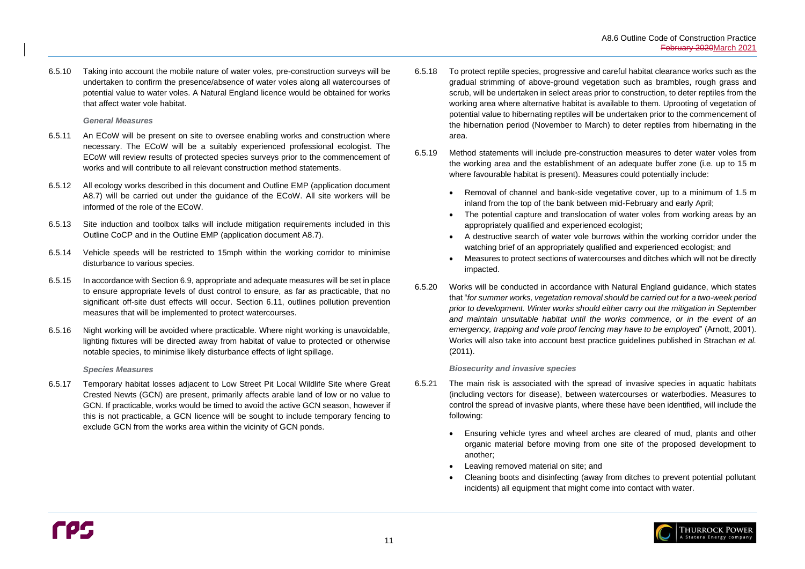6.5.10 Taking into account the mobile nature of water voles, pre-construction surveys will be undertaken to confirm the presence/absence of water voles along all watercourses of potential value to water voles. A Natural England licence would be obtained for works that affect water vole habitat.

#### *General Measures*

- 6.5.11 An ECoW will be present on site to oversee enabling works and construction where necessary. The ECoW will be a suitably experienced professional ecologist. The ECoW will review results of protected species surveys prior to the commencement of works and will contribute to all relevant construction method statements.
- 6.5.12 All ecology works described in this document and Outline EMP (application document A8.7) will be carried out under the guidance of the ECoW. All site workers will be informed of the role of the ECoW.
- 6.5.13 Site induction and toolbox talks will include mitigation requirements included in this Outline CoCP and in the Outline EMP (application document A8.7).
- 6.5.14 Vehicle speeds will be restricted to 15mph within the working corridor to minimise disturbance to various species.
- 6.5.15 In accordance with Sectio[n 6.9,](#page-17-0) appropriate and adequate measures will be set in place to ensure appropriate levels of dust control to ensure, as far as practicable, that no significant off-site dust effects will occur. Section [6.11,](#page-19-1) outlines pollution prevention measures that will be implemented to protect watercourses.
- 6.5.16 Night working will be avoided where practicable. Where night working is unavoidable, lighting fixtures will be directed away from habitat of value to protected or otherwise notable species, to minimise likely disturbance effects of light spillage.

#### *Species Measures*

6.5.17 Temporary habitat losses adjacent to Low Street Pit Local Wildlife Site where Great Crested Newts (GCN) are present, primarily affects arable land of low or no value to GCN. If practicable, works would be timed to avoid the active GCN season, however if this is not practicable, a GCN licence will be sought to include temporary fencing to exclude GCN from the works area within the vicinity of GCN ponds.

- 6.5.18 To protect reptile species, progressive and careful habitat clearance works such as the gradual strimming of above-ground vegetation such as brambles, rough grass and scrub, will be undertaken in select areas prior to construction, to deter reptiles from the working area where alternative habitat is available to them. Uprooting of vegetation of potential value to hibernating reptiles will be undertaken prior to the commencement of the hibernation period (November to March) to deter reptiles from hibernating in the area.
- 6.5.19 Method statements will include pre-construction measures to deter water voles from the working area and the establishment of an adequate buffer zone (i.e. up to 15 m where favourable habitat is present). Measures could potentially include:
	- Removal of channel and bank-side vegetative cover, up to a minimum of 1.5 m inland from the top of the bank between mid-February and early April;
	- The potential capture and translocation of water voles from working areas by an appropriately qualified and experienced ecologist;
	- A destructive search of water vole burrows within the working corridor under the watching brief of an appropriately qualified and experienced ecologist; and
	- Measures to protect sections of watercourses and ditches which will not be directly impacted.
- 6.5.20 Works will be conducted in accordance with Natural England guidance, which states that "*for summer works, vegetation removal should be carried out for a two-week period prior to development. Winter works should either carry out the mitigation in September and maintain unsuitable habitat until the works commence, or in the event of an emergency, trapping and vole proof fencing may have to be employed*" (Arnott, 2001). Works will also take into account best practice guidelines published in Strachan *et al.* (2011).

### *Biosecurity and invasive species*

- <span id="page-14-0"></span>6.5.21 The main risk is associated with the spread of invasive species in aquatic habitats (including vectors for disease), between watercourses or waterbodies. Measures to control the spread of invasive plants, where these have been identified, will include the following:
	- Ensuring vehicle tyres and wheel arches are cleared of mud, plants and other another;
	- Leaving removed material on site; and
	- incidents) all equipment that might come into contact with water.

organic material before moving from one site of the proposed development to

• Cleaning boots and disinfecting (away from ditches to prevent potential pollutant

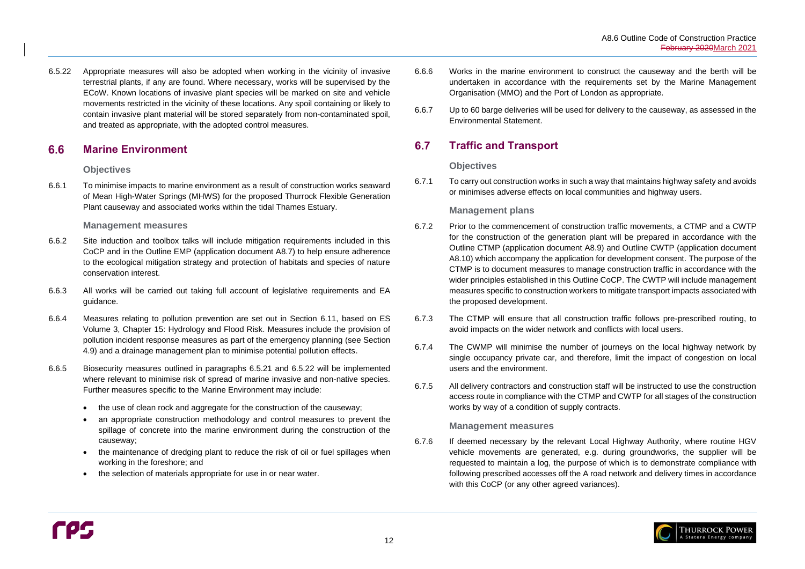

#### <span id="page-15-0"></span> $6.6$ **Marine Environment**

6.5.22 Appropriate measures will also be adopted when working in the vicinity of invasive terrestrial plants, if any are found. Where necessary, works will be supervised by the ECoW. Known locations of invasive plant species will be marked on site and vehicle movements restricted in the vicinity of these locations. Any spoil containing or likely to contain invasive plant material will be stored separately from non-contaminated spoil, and treated as appropriate, with the adopted control measures.

- 6.6.2 Site induction and toolbox talks will include mitigation requirements included in this CoCP and in the Outline EMP (application document A8.7) to help ensure adherence to the ecological mitigation strategy and protection of habitats and species of nature conservation interest.
- 6.6.3 All works will be carried out taking full account of legislative requirements and EA guidance.
- 6.6.4 Measures relating to pollution prevention are set out in Section [6.11,](#page-19-1) based on ES Volume 3, Chapter 15: Hydrology and Flood Risk. Measures include the provision of pollution incident response measures as part of the emergency planning (see Section [4.9\)](#page-9-4) and a drainage management plan to minimise potential pollution effects.
- 6.6.5 Biosecurity measures outlined in paragraphs [6.5.21](#page-14-0) and 6.5.22 will be implemented where relevant to minimise risk of spread of marine invasive and non-native species. Further measures specific to the Marine Environment may include:
	- the use of clean rock and aggregate for the construction of the causeway;
	- an appropriate construction methodology and control measures to prevent the spillage of concrete into the marine environment during the construction of the causeway;
	- the maintenance of dredging plant to reduce the risk of oil or fuel spillages when working in the foreshore; and
	- the selection of materials appropriate for use in or near water.

### **Objectives**

6.6.1 To minimise impacts to marine environment as a result of construction works seaward of Mean High-Water Springs (MHWS) for the proposed Thurrock Flexible Generation Plant causeway and associated works within the tidal Thames Estuary.

### **Management measures**

#### <span id="page-15-1"></span>6.7 **Traffic and Transport**

6.7.6 If deemed necessary by the relevant Local Highway Authority, where routine HGV vehicle movements are generated, e.g. during groundworks, the supplier will be requested to maintain a log, the purpose of which is to demonstrate compliance with following prescribed accesses off the A road network and delivery times in accordance with this CoCP (or any other agreed variances).

- 6.6.6 Works in the marine environment to construct the causeway and the berth will be undertaken in accordance with the requirements set by the Marine Management Organisation (MMO) and the Port of London as appropriate.
- 6.6.7 Up to 60 barge deliveries will be used for delivery to the causeway, as assessed in the Environmental Statement.

### **Objectives**

6.7.1 To carry out construction works in such a way that maintains highway safety and avoids or minimises adverse effects on local communities and highway users.

## **Management plans**

- 6.7.2 Prior to the commencement of construction traffic movements, a CTMP and a CWTP for the construction of the generation plant will be prepared in accordance with the Outline CTMP (application document A8.9) and Outline CWTP (application document A8.10) which accompany the application for development consent. The purpose of the CTMP is to document measures to manage construction traffic in accordance with the wider principles established in this Outline CoCP. The CWTP will include management measures specific to construction workers to mitigate transport impacts associated with the proposed development.
- 6.7.3 The CTMP will ensure that all construction traffic follows pre-prescribed routing, to avoid impacts on the wider network and conflicts with local users.
- 6.7.4 The CWMP will minimise the number of journeys on the local highway network by single occupancy private car, and therefore, limit the impact of congestion on local users and the environment.
- 6.7.5 All delivery contractors and construction staff will be instructed to use the construction access route in compliance with the CTMP and CWTP for all stages of the construction works by way of a condition of supply contracts.

### **Management measures**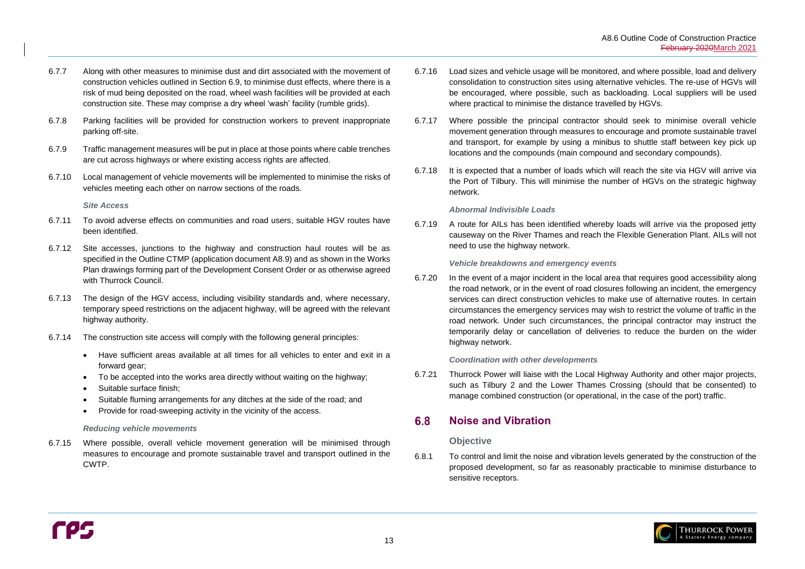

- 6.7.7 Along with other measures to minimise dust and dirt associated with the movement of construction vehicles outlined in Section [6.9,](#page-17-0) to minimise dust effects, where there is a risk of mud being deposited on the road, wheel wash facilities will be provided at each construction site. These may comprise a dry wheel 'wash' facility (rumble grids).
- 6.7.8 Parking facilities will be provided for construction workers to prevent inappropriate parking off-site.
- 6.7.9 Traffic management measures will be put in place at those points where cable trenches are cut across highways or where existing access rights are affected.
- 6.7.10 Local management of vehicle movements will be implemented to minimise the risks of vehicles meeting each other on narrow sections of the roads.

*Site Access*

- 6.7.11 To avoid adverse effects on communities and road users, suitable HGV routes have been identified.
- 6.7.12 Site accesses, junctions to the highway and construction haul routes will be as specified in the Outline CTMP (application document A8.9) and as shown in the Works Plan drawings forming part of the Development Consent Order or as otherwise agreed with Thurrock Council.
- 6.7.13 The design of the HGV access, including visibility standards and, where necessary, temporary speed restrictions on the adjacent highway, will be agreed with the relevant highway authority.
- 6.7.14 The construction site access will comply with the following general principles:
	- Have sufficient areas available at all times for all vehicles to enter and exit in a forward gear;
	- To be accepted into the works area directly without waiting on the highway;
	- Suitable surface finish:
	- Suitable fluming arrangements for any ditches at the side of the road; and
	- Provide for road-sweeping activity in the vicinity of the access.

### *Reducing vehicle movements*

6.7.15 Where possible, overall vehicle movement generation will be minimised through measures to encourage and promote sustainable travel and transport outlined in the CWTP.

#### <span id="page-16-0"></span>6.8 **Noise and Vibration**

- 6.7.16 Load sizes and vehicle usage will be monitored, and where possible, load and delivery consolidation to construction sites using alternative vehicles. The re-use of HGVs will be encouraged, where possible, such as backloading. Local suppliers will be used where practical to minimise the distance travelled by HGVs.
- 6.7.17 Where possible the principal contractor should seek to minimise overall vehicle movement generation through measures to encourage and promote sustainable travel and transport, for example by using a minibus to shuttle staff between key pick up locations and the compounds (main compound and secondary compounds).
- 6.7.18 It is expected that a number of loads which will reach the site via HGV will arrive via the Port of Tilbury. This will minimise the number of HGVs on the strategic highway network.

### *Abnormal Indivisible Loads*

6.7.19 A route for AILs has been identified whereby loads will arrive via the proposed jetty causeway on the River Thames and reach the Flexible Generation Plant. AILs will not need to use the highway network.

*Vehicle breakdowns and emergency events* 

6.7.20 In the event of a major incident in the local area that requires good accessibility along the road network, or in the event of road closures following an incident, the emergency services can direct construction vehicles to make use of alternative routes. In certain circumstances the emergency services may wish to restrict the volume of traffic in the road network. Under such circumstances, the principal contractor may instruct the temporarily delay or cancellation of deliveries to reduce the burden on the wider highway network.

### *Coordination with other developments*

6.7.21 Thurrock Power will liaise with the Local Highway Authority and other major projects, such as Tilbury 2 and the Lower Thames Crossing (should that be consented) to manage combined construction (or operational, in the case of the port) traffic.

### **Objective**

6.8.1 To control and limit the noise and vibration levels generated by the construction of the proposed development, so far as reasonably practicable to minimise disturbance to sensitive receptors.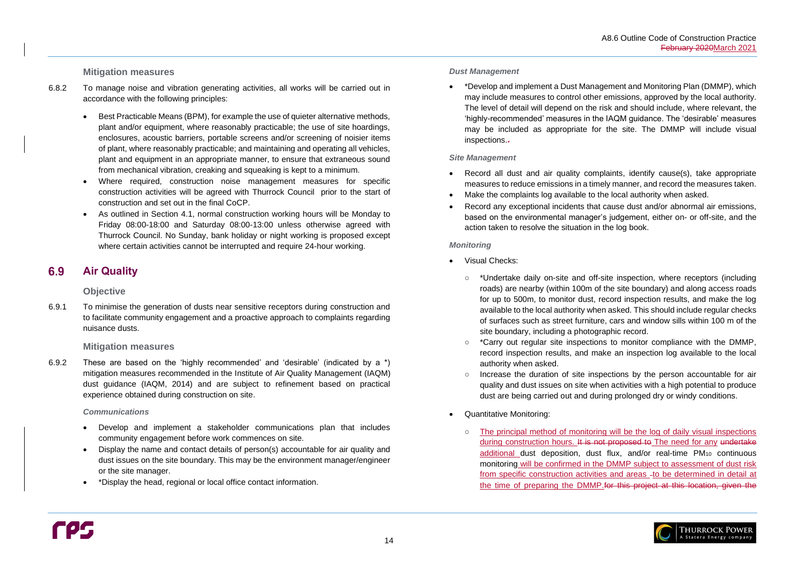### **Mitigation measures**

#### <span id="page-17-0"></span>**Air Quality** 6.9

- 6.8.2 To manage noise and vibration generating activities, all works will be carried out in accordance with the following principles:
	- Best Practicable Means (BPM), for example the use of quieter alternative methods, plant and/or equipment, where reasonably practicable; the use of site hoardings, enclosures, acoustic barriers, portable screens and/or screening of noisier items of plant, where reasonably practicable; and maintaining and operating all vehicles, plant and equipment in an appropriate manner, to ensure that extraneous sound from mechanical vibration, creaking and squeaking is kept to a minimum.
	- Where required, construction noise management measures for specific construction activities will be agreed with Thurrock Council prior to the start of construction and set out in the final CoCP.
	- As outlined in Section [4.1,](#page-8-1) normal construction working hours will be Monday to Friday 08:00-18:00 and Saturday 08:00-13:00 unless otherwise agreed with Thurrock Council. No Sunday, bank holiday or night working is proposed except where certain activities cannot be interrupted and require 24-hour working.

• \*Develop and implement a Dust Management and Monitoring Plan (DMMP), which inspections.-

### **Objective**

6.9.1 To minimise the generation of dusts near sensitive receptors during construction and to facilitate community engagement and a proactive approach to complaints regarding nuisance dusts.

### **Mitigation measures**

- 
- Make the complaints log available to the local authority when asked.
- action taken to resolve the situation in the log book.

6.9.2 These are based on the 'highly recommended' and 'desirable' (indicated by a \*) mitigation measures recommended in the Institute of Air Quality Management (IAQM) dust guidance (IAQM, 2014) and are subject to refinement based on practical experience obtained during construction on site.

#### *Communications*

- Develop and implement a stakeholder communications plan that includes community engagement before work commences on site.
- Display the name and contact details of person(s) accountable for air quality and dust issues on the site boundary. This may be the environment manager/engineer or the site manager.
- \*Display the head, regional or local office contact information.

○ The principal method of monitoring will be the log of daily visual inspections during construction hours. It is not proposed to The need for any undertake additional dust deposition, dust flux, and/or real-time PM<sub>10</sub> continuous monitoring will be confirmed in the DMMP subject to assessment of dust risk from specific construction activities and areas -to be determined in detail at the time of preparing the DMMP.for this project at this location, given the



#### *Dust Management*

may include measures to control other emissions, approved by the local authority. The level of detail will depend on the risk and should include, where relevant, the 'highly-recommended' measures in the IAQM guidance. The 'desirable' measures may be included as appropriate for the site. The DMMP will include visual

### *Site Management*

• Record all dust and air quality complaints, identify cause(s), take appropriate measures to reduce emissions in a timely manner, and record the measures taken.

• Record any exceptional incidents that cause dust and/or abnormal air emissions, based on the environmental manager's judgement, either on- or off-site, and the

### *Monitoring*

○ \*Undertake daily on-site and off-site inspection, where receptors (including roads) are nearby (within 100m of the site boundary) and along access roads for up to 500m, to monitor dust, record inspection results, and make the log available to the local authority when asked. This should include regular checks of surfaces such as street furniture, cars and window sills within 100 m of the

- Visual Checks:
	- site boundary, including a photographic record.
	- authority when asked.
	- dust are being carried out and during prolonged dry or windy conditions.
- Quantitative Monitoring:
	-

○ \*Carry out regular site inspections to monitor compliance with the DMMP, record inspection results, and make an inspection log available to the local

○ Increase the duration of site inspections by the person accountable for air quality and dust issues on site when activities with a high potential to produce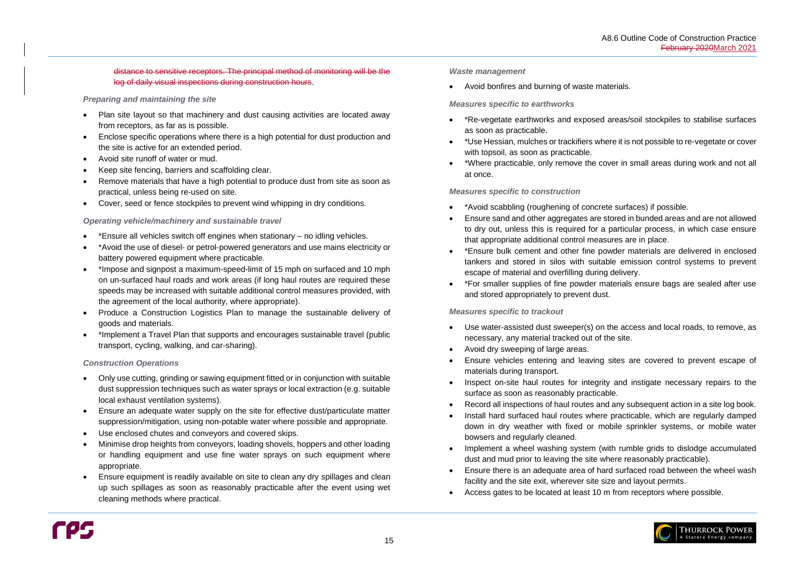

### distance to sensitive receptors. The principal method of monitoring will be the log of daily visual inspections during construction hours.

### *Preparing and maintaining the site*

- Plan site layout so that machinery and dust causing activities are located away from receptors, as far as is possible.
- Enclose specific operations where there is a high potential for dust production and the site is active for an extended period.
- Avoid site runoff of water or mud.
- Keep site fencing, barriers and scaffolding clear.
- Remove materials that have a high potential to produce dust from site as soon as practical, unless being re-used on site.
- Cover, seed or fence stockpiles to prevent wind whipping in dry conditions.

### *Operating vehicle/machinery and sustainable travel*

- \*Ensure all vehicles switch off engines when stationary no idling vehicles.
- \*Avoid the use of diesel- or petrol-powered generators and use mains electricity or battery powered equipment where practicable.
- \*Impose and signpost a maximum-speed-limit of 15 mph on surfaced and 10 mph on un-surfaced haul roads and work areas (if long haul routes are required these speeds may be increased with suitable additional control measures provided, with the agreement of the local authority, where appropriate).
- Produce a Construction Logistics Plan to manage the sustainable delivery of goods and materials.
- \*Implement a Travel Plan that supports and encourages sustainable travel (public transport, cycling, walking, and car-sharing).

### *Construction Operations*

- Only use cutting, grinding or sawing equipment fitted or in conjunction with suitable dust suppression techniques such as water sprays or local extraction (e.g. suitable local exhaust ventilation systems).
- Ensure an adequate water supply on the site for effective dust/particulate matter suppression/mitigation, using non-potable water where possible and appropriate.
- Use enclosed chutes and conveyors and covered skips.
- Minimise drop heights from conveyors, loading shovels, hoppers and other loading or handling equipment and use fine water sprays on such equipment where appropriate.
- Ensure equipment is readily available on site to clean any dry spillages and clean up such spillages as soon as reasonably practicable after the event using wet cleaning methods where practical.

#### *Waste management*

• Avoid bonfires and burning of waste materials.

### *Measures specific to earthworks*

- \*Re-vegetate earthworks and exposed areas/soil stockpiles to stabilise surfaces as soon as practicable.
- \*Use Hessian, mulches or trackifiers where it is not possible to re-vegetate or cover with topsoil, as soon as practicable.
- \*Where practicable, only remove the cover in small areas during work and not all at once.

### *Measures specific to construction*

- \*Avoid scabbling (roughening of concrete surfaces) if possible.
- Ensure sand and other aggregates are stored in bunded areas and are not allowed to dry out, unless this is required for a particular process, in which case ensure that appropriate additional control measures are in place.
- \*Ensure bulk cement and other fine powder materials are delivered in enclosed tankers and stored in silos with suitable emission control systems to prevent escape of material and overfilling during delivery.
- \*For smaller supplies of fine powder materials ensure bags are sealed after use and stored appropriately to prevent dust.

### *Measures specific to trackout*

- Use water-assisted dust sweeper(s) on the access and local roads, to remove, as necessary, any material tracked out of the site.
- Avoid dry sweeping of large areas.
- Ensure vehicles entering and leaving sites are covered to prevent escape of materials during transport.
- Inspect on-site haul routes for integrity and instigate necessary repairs to the surface as soon as reasonably practicable.
- Record all inspections of haul routes and any subsequent action in a site log book. • Install hard surfaced haul routes where practicable, which are regularly damped down in dry weather with fixed or mobile sprinkler systems, or mobile water
- bowsers and regularly cleaned.
- Implement a wheel washing system (with rumble grids to dislodge accumulated dust and mud prior to leaving the site where reasonably practicable).
- Ensure there is an adequate area of hard surfaced road between the wheel wash facility and the site exit, wherever site size and layout permits.
- Access gates to be located at least 10 m from receptors where possible.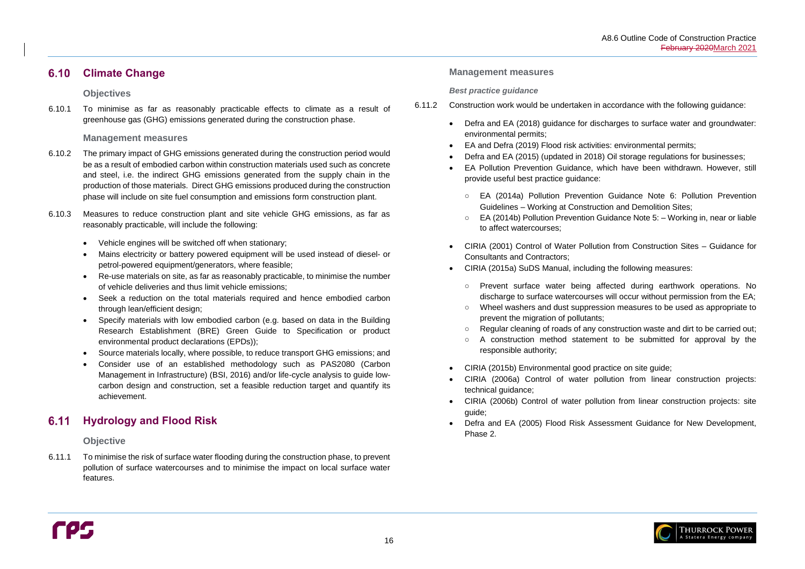

#### <span id="page-19-0"></span>**Climate Change**  $6.10$

### **Objectives**

6.10.1 To minimise as far as reasonably practicable effects to climate as a result of greenhouse gas (GHG) emissions generated during the construction phase.

### **Management measures**

#### <span id="page-19-1"></span>**Hydrology and Flood Risk** 6.11

- 6.10.2 The primary impact of GHG emissions generated during the construction period would be as a result of embodied carbon within construction materials used such as concrete and steel, i.e. the indirect GHG emissions generated from the supply chain in the production of those materials. Direct GHG emissions produced during the construction phase will include on site fuel consumption and emissions form construction plant.
- 6.10.3 Measures to reduce construction plant and site vehicle GHG emissions, as far as reasonably practicable, will include the following:
	- Vehicle engines will be switched off when stationary;
	- Mains electricity or battery powered equipment will be used instead of diesel- or petrol-powered equipment/generators, where feasible;
	- Re-use materials on site, as far as reasonably practicable, to minimise the number of vehicle deliveries and thus limit vehicle emissions;
	- Seek a reduction on the total materials required and hence embodied carbon through lean/efficient design;
	- Specify materials with low embodied carbon (e.g. based on data in the Building Research Establishment (BRE) Green Guide to Specification or product environmental product declarations (EPDs));
	- Source materials locally, where possible, to reduce transport GHG emissions; and
	- Consider use of an established methodology such as PAS2080 (Carbon Management in Infrastructure) (BSI, 2016) and/or life-cycle analysis to guide lowcarbon design and construction, set a feasible reduction target and quantify its achievement.

### **Objective**

6.11.1 To minimise the risk of surface water flooding during the construction phase, to prevent pollution of surface watercourses and to minimise the impact on local surface water features.

#### **Management measures**

#### *Best practice guidance*

- 6.11.2 Construction work would be undertaken in accordance with the following guidance:
	- Defra and EA (2018) guidance for discharges to surface water and groundwater: environmental permits;
	- EA and Defra (2019) Flood risk activities: environmental permits; • Defra and EA (2015) (updated in 2018) Oil storage regulations for businesses; • EA Pollution Prevention Guidance, which have been withdrawn. However, still
	-
	- provide useful best practice guidance:
		- EA (2014a) Pollution Prevention Guidance Note 6: Pollution Prevention Guidelines – Working at Construction and Demolition Sites; ○ EA (2014b) Pollution Prevention Guidance Note 5: – Working in, near or liable
		- to affect watercourses;
	- CIRIA (2001) Control of Water Pollution from Construction Sites Guidance for Consultants and Contractors;
	- CIRIA (2015a) SuDS Manual, including the following measures:
		- Prevent surface water being affected during earthwork operations. No discharge to surface watercourses will occur without permission from the EA; ○ Wheel washers and dust suppression measures to be used as appropriate to
		- prevent the migration of pollutants;
		- Regular cleaning of roads of any construction waste and dirt to be carried out; A construction method statement to be submitted for approval by the
		- responsible authority;
	- CIRIA (2015b) Environmental good practice on site guide;
	- CIRIA (2006a) Control of water pollution from linear construction projects: technical guidance;
	- CIRIA (2006b) Control of water pollution from linear construction projects: site guide;
	- Defra and EA (2005) Flood Risk Assessment Guidance for New Development, Phase 2.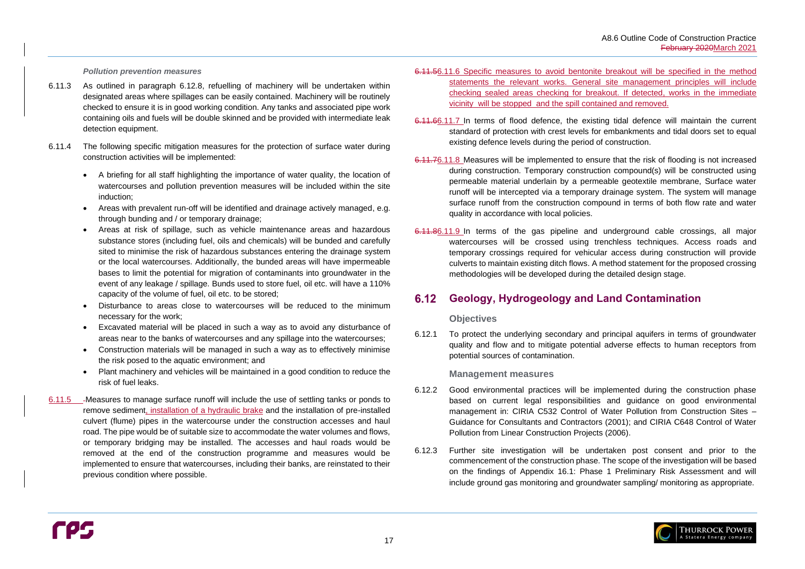

#### *Pollution prevention measures*

- 6.11.3 As outlined in paragraph [6.12.8,](#page-21-1) refuelling of machinery will be undertaken within designated areas where spillages can be easily contained. Machinery will be routinely checked to ensure it is in good working condition. Any tanks and associated pipe work containing oils and fuels will be double skinned and be provided with intermediate leak detection equipment.
- 6.11.4 The following specific mitigation measures for the protection of surface water during construction activities will be implemented:
	- A briefing for all staff highlighting the importance of water quality, the location of watercourses and pollution prevention measures will be included within the site induction;
	- Areas with prevalent run-off will be identified and drainage actively managed, e.g. through bunding and / or temporary drainage;
	- Areas at risk of spillage, such as vehicle maintenance areas and hazardous substance stores (including fuel, oils and chemicals) will be bunded and carefully sited to minimise the risk of hazardous substances entering the drainage system or the local watercourses. Additionally, the bunded areas will have impermeable bases to limit the potential for migration of contaminants into groundwater in the event of any leakage / spillage. Bunds used to store fuel, oil etc. will have a 110% capacity of the volume of fuel, oil etc. to be stored;
	- Disturbance to areas close to watercourses will be reduced to the minimum necessary for the work;
	- Excavated material will be placed in such a way as to avoid any disturbance of areas near to the banks of watercourses and any spillage into the watercourses;
	- Construction materials will be managed in such a way as to effectively minimise the risk posed to the aquatic environment; and
	- Plant machinery and vehicles will be maintained in a good condition to reduce the risk of fuel leaks.
- 6.11.5 Aleasures to manage surface runoff will include the use of settling tanks or ponds to remove sediment, installation of a hydraulic brake and the installation of pre-installed culvert (flume) pipes in the watercourse under the construction accesses and haul road. The pipe would be of suitable size to accommodate the water volumes and flows, or temporary bridging may be installed. The accesses and haul roads would be removed at the end of the construction programme and measures would be implemented to ensure that watercourses, including their banks, are reinstated to their previous condition where possible.

#### <span id="page-20-0"></span> $6.12$ **Geology, Hydrogeology and Land Contamination**

- 6.11.56.11.6 Specific measures to avoid bentonite breakout will be specified in the method statements the relevant works. General site management principles will include checking sealed areas checking for breakout. If detected, works in the immediate vicinity will be stopped and the spill contained and removed.
- 6.11.66.11.7 In terms of flood defence, the existing tidal defence will maintain the current standard of protection with crest levels for embankments and tidal doors set to equal existing defence levels during the period of construction.
- 6.11.76.11.8 Measures will be implemented to ensure that the risk of flooding is not increased during construction. Temporary construction compound(s) will be constructed using permeable material underlain by a permeable geotextile membrane, Surface water runoff will be intercepted via a temporary drainage system. The system will manage surface runoff from the construction compound in terms of both flow rate and water quality in accordance with local policies.
- 6.11.86.11.9 In terms of the gas pipeline and underground cable crossings, all major watercourses will be crossed using trenchless techniques. Access roads and temporary crossings required for vehicular access during construction will provide culverts to maintain existing ditch flows. A method statement for the proposed crossing methodologies will be developed during the detailed design stage.

### **Objectives**

6.12.1 To protect the underlying secondary and principal aquifers in terms of groundwater quality and flow and to mitigate potential adverse effects to human receptors from potential sources of contamination.

### **Management measures**

- 6.12.2 Good environmental practices will be implemented during the construction phase based on current legal responsibilities and guidance on good environmental management in: CIRIA C532 Control of Water Pollution from Construction Sites – Guidance for Consultants and Contractors (2001); and CIRIA C648 Control of Water Pollution from Linear Construction Projects (2006).
- 6.12.3 Further site investigation will be undertaken post consent and prior to the commencement of the construction phase. The scope of the investigation will be based on the findings of Appendix 16.1: Phase 1 Preliminary Risk Assessment and will include ground gas monitoring and groundwater sampling/ monitoring as appropriate.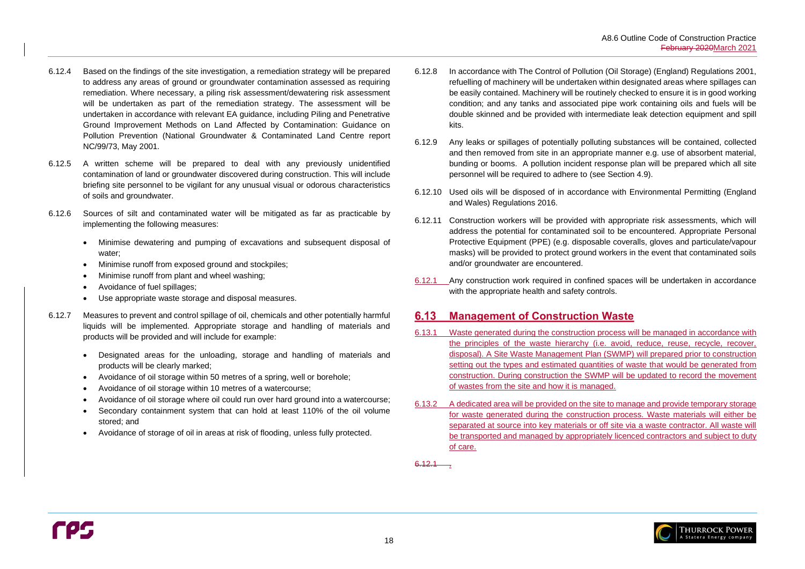

- 6.12.4 Based on the findings of the site investigation, a remediation strategy will be prepared to address any areas of ground or groundwater contamination assessed as requiring remediation. Where necessary, a piling risk assessment/dewatering risk assessment will be undertaken as part of the remediation strategy. The assessment will be undertaken in accordance with relevant EA guidance, including Piling and Penetrative Ground Improvement Methods on Land Affected by Contamination: Guidance on Pollution Prevention (National Groundwater & Contaminated Land Centre report NC/99/73, May 2001.
- 6.12.5 A written scheme will be prepared to deal with any previously unidentified contamination of land or groundwater discovered during construction. This will include briefing site personnel to be vigilant for any unusual visual or odorous characteristics of soils and groundwater.
- 6.12.6 Sources of silt and contaminated water will be mitigated as far as practicable by implementing the following measures:
	- Minimise dewatering and pumping of excavations and subsequent disposal of water;
	- Minimise runoff from exposed ground and stockpiles;
	- Minimise runoff from plant and wheel washing;
	- Avoidance of fuel spillages;
	- Use appropriate waste storage and disposal measures.
- 6.12.7 Measures to prevent and control spillage of oil, chemicals and other potentially harmful liquids will be implemented. Appropriate storage and handling of materials and products will be provided and will include for example:
	- Designated areas for the unloading, storage and handling of materials and products will be clearly marked;
	- Avoidance of oil storage within 50 metres of a spring, well or borehole;
	- Avoidance of oil storage within 10 metres of a watercourse;
	- Avoidance of oil storage where oil could run over hard ground into a watercourse;
	- Secondary containment system that can hold at least 110% of the oil volume stored; and
	- Avoidance of storage of oil in areas at risk of flooding, unless fully protected.
- <span id="page-21-1"></span>6.12.8 In accordance with The Control of Pollution (Oil Storage) (England) Regulations 2001, refuelling of machinery will be undertaken within designated areas where spillages can be easily contained. Machinery will be routinely checked to ensure it is in good working condition; and any tanks and associated pipe work containing oils and fuels will be double skinned and be provided with intermediate leak detection equipment and spill kits.
- 6.12.9 Any leaks or spillages of potentially polluting substances will be contained, collected and then removed from site in an appropriate manner e.g. use of absorbent material, bunding or booms. A pollution incident response plan will be prepared which all site personnel will be required to adhere to (see Section [4.9\)](#page-9-4).
- 6.12.10 Used oils will be disposed of in accordance with Environmental Permitting (England and Wales) Regulations 2016.
- 6.12.11 Construction workers will be provided with appropriate risk assessments, which will address the potential for contaminated soil to be encountered. Appropriate Personal Protective Equipment (PPE) (e.g. disposable coveralls, gloves and particulate/vapour masks) will be provided to protect ground workers in the event that contaminated soils and/or groundwater are encountered.
- 6.12.1 Any construction work required in confined spaces will be undertaken in accordance with the appropriate health and safety controls.

# <span id="page-21-0"></span>**6.13 Management of Construction Waste**

- 6.13.1 Waste generated during the construction process will be managed in accordance with the principles of the waste hierarchy (i.e. avoid, reduce, reuse, recycle, recover, disposal). A Site Waste Management Plan (SWMP) will prepared prior to construction setting out the types and estimated quantities of waste that would be generated from construction. During construction the SWMP will be updated to record the movement of wastes from the site and how it is managed.
- 6.13.2 A dedicated area will be provided on the site to manage and provide temporary storage for waste generated during the construction process. Waste materials will either be separated at source into key materials or off site via a waste contractor. All waste will be transported and managed by appropriately licenced contractors and subject to duty of care.

 $6.12.1$